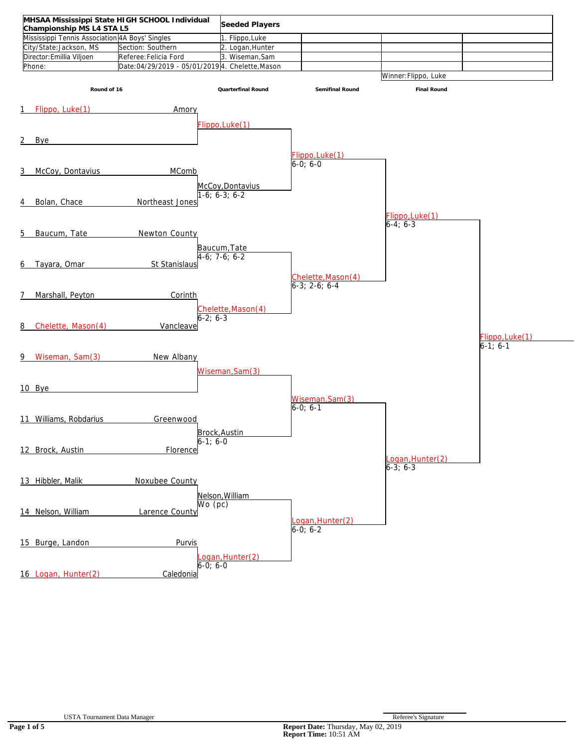| Championship MS L4 STA L5                       | MHSAA Mississippi State HIGH SCHOOL Individual  | Seeded Players      |                                     |                               |                 |
|-------------------------------------------------|-------------------------------------------------|---------------------|-------------------------------------|-------------------------------|-----------------|
| Mississippi Tennis Association 4A Boys' Singles |                                                 | 1. Flippo, Luke     |                                     |                               |                 |
| City/State:Jackson, MS                          | Section: Southern                               | 2. Logan, Hunter    |                                     |                               |                 |
| Director: Emillia Viljoen                       | Referee: Felicia Ford                           | 3. Wiseman, Sam     |                                     |                               |                 |
| Phone:                                          | Date:04/29/2019 - 05/01/2019 4. Chelette, Mason |                     |                                     |                               |                 |
|                                                 |                                                 |                     |                                     | Winner: Flippo, Luke          |                 |
|                                                 |                                                 |                     |                                     |                               |                 |
| Round of 16                                     |                                                 | Quarterfinal Round  | Semifinal Round                     | Final Round                   |                 |
|                                                 |                                                 |                     |                                     |                               |                 |
| Flippo, Luke(1)<br>1                            | Amory                                           |                     |                                     |                               |                 |
|                                                 |                                                 |                     |                                     |                               |                 |
|                                                 |                                                 | Flippo, Luke(1)     |                                     |                               |                 |
| Bye<br>2                                        |                                                 |                     |                                     |                               |                 |
|                                                 |                                                 |                     |                                     |                               |                 |
|                                                 |                                                 |                     | Flippo, Luke(1)                     |                               |                 |
|                                                 |                                                 |                     | $6-0; 6-0$                          |                               |                 |
| McCoy, Dontavius<br>3                           | <b>MComb</b>                                    |                     |                                     |                               |                 |
|                                                 |                                                 | McCoy, Dontavius    |                                     |                               |                 |
|                                                 |                                                 | $-6; 6-3; 6-2$      |                                     |                               |                 |
| Bolan, Chace<br>4                               | Northeast Jones                                 |                     |                                     |                               |                 |
|                                                 |                                                 |                     |                                     |                               |                 |
|                                                 |                                                 |                     |                                     | Flippo, Luke(1)<br>$6-4; 6-3$ |                 |
| Baucum, Tate<br>5                               | Newton County                                   |                     |                                     |                               |                 |
|                                                 |                                                 |                     |                                     |                               |                 |
|                                                 |                                                 | Baucum, Tate        |                                     |                               |                 |
|                                                 |                                                 | $4-6; 7-6; 6-2$     |                                     |                               |                 |
| Tayara, Omar<br>6                               | St Stanislaus                                   |                     |                                     |                               |                 |
|                                                 |                                                 |                     |                                     |                               |                 |
|                                                 |                                                 |                     | Chelette, Mason(4)<br>6-3; 2-6; 6-4 |                               |                 |
| Marshall, Peyton<br>7                           | Corinth                                         |                     |                                     |                               |                 |
|                                                 |                                                 |                     |                                     |                               |                 |
|                                                 |                                                 | Chelette, Mason (4) |                                     |                               |                 |
|                                                 |                                                 | $6 - 2: 6 - 3$      |                                     |                               |                 |
| Chelette, Mason(4)<br>8                         | Vancleave                                       |                     |                                     |                               |                 |
|                                                 |                                                 |                     |                                     |                               | Flippo, Luke(1) |
|                                                 |                                                 |                     |                                     |                               | $6-1; 6-1$      |
| Wiseman, Sam(3)<br>9                            | New Albany                                      |                     |                                     |                               |                 |
|                                                 |                                                 |                     |                                     |                               |                 |
|                                                 |                                                 | Wiseman, Sam(3)     |                                     |                               |                 |
| 10 Bye                                          |                                                 |                     |                                     |                               |                 |
|                                                 |                                                 |                     |                                     |                               |                 |
|                                                 |                                                 |                     | Wiseman, Sam(3)<br>$6-0; 6-1$       |                               |                 |
|                                                 |                                                 |                     |                                     |                               |                 |
| 11 Williams, Robdarius                          | Greenwood                                       |                     |                                     |                               |                 |
|                                                 |                                                 | <b>Brock Austin</b> |                                     |                               |                 |
|                                                 |                                                 | $6-1; 6-0$          |                                     |                               |                 |
| 12 Brock, Austin                                | Florence                                        |                     |                                     |                               |                 |
|                                                 |                                                 |                     |                                     | ogan, Hunter (2)              |                 |
|                                                 |                                                 |                     |                                     | $6 - 3$ ; $6 - 3$             |                 |
|                                                 |                                                 |                     |                                     |                               |                 |
| 13 Hibbler, Malik                               | Noxubee County                                  |                     |                                     |                               |                 |
|                                                 |                                                 | Nelson, William     |                                     |                               |                 |
|                                                 |                                                 | Wo (pc)             |                                     |                               |                 |
| 14 Nelson, William                              | Larence County                                  |                     |                                     |                               |                 |
|                                                 |                                                 |                     | Logan, Hunter (2)<br>6-0; 6-2       |                               |                 |
|                                                 |                                                 |                     |                                     |                               |                 |
| 15 Burge, Landon                                | Purvis                                          |                     |                                     |                               |                 |
|                                                 |                                                 |                     |                                     |                               |                 |
|                                                 |                                                 | .ogan, Hunter(2)    |                                     |                               |                 |
|                                                 |                                                 | $6-0; 6-0$          |                                     |                               |                 |
| 16 Logan, Hunter(2)                             | Caledonia                                       |                     |                                     |                               |                 |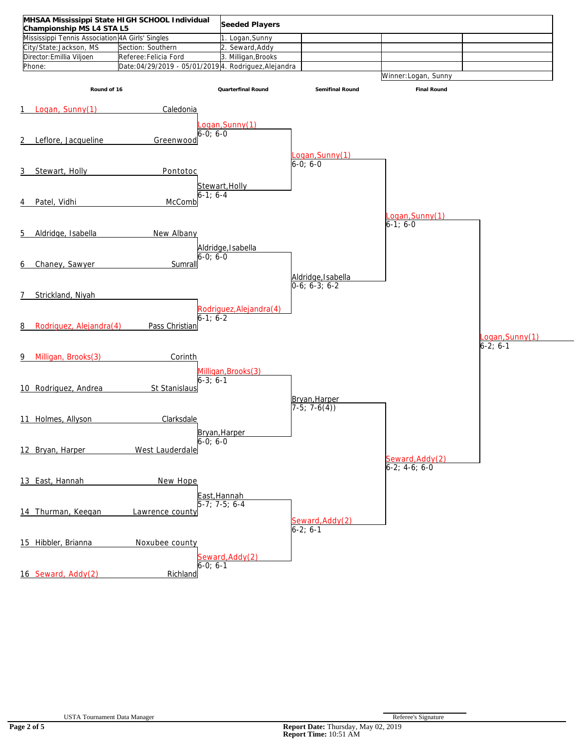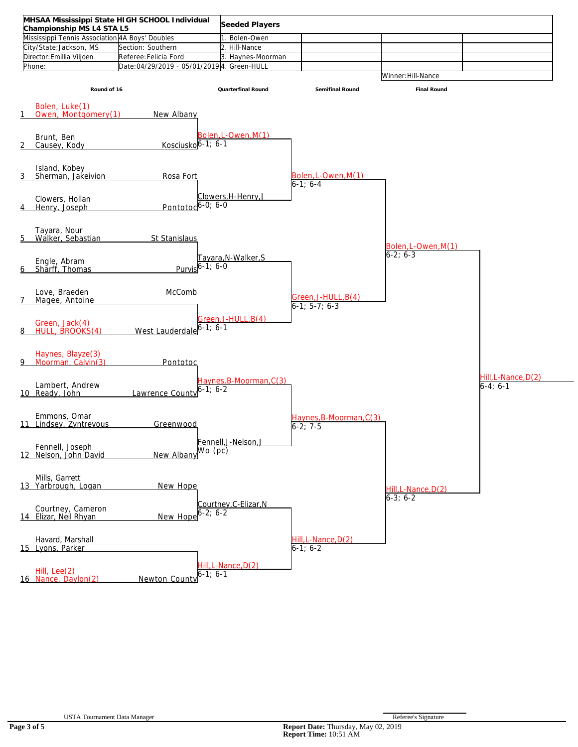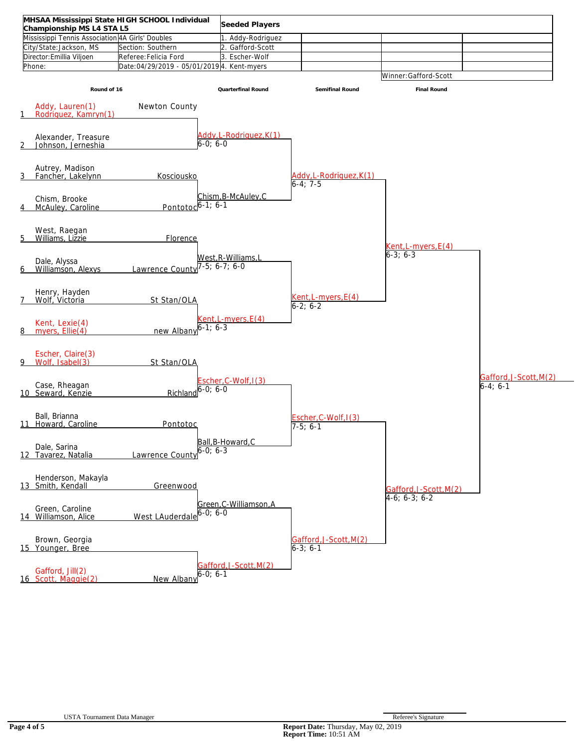